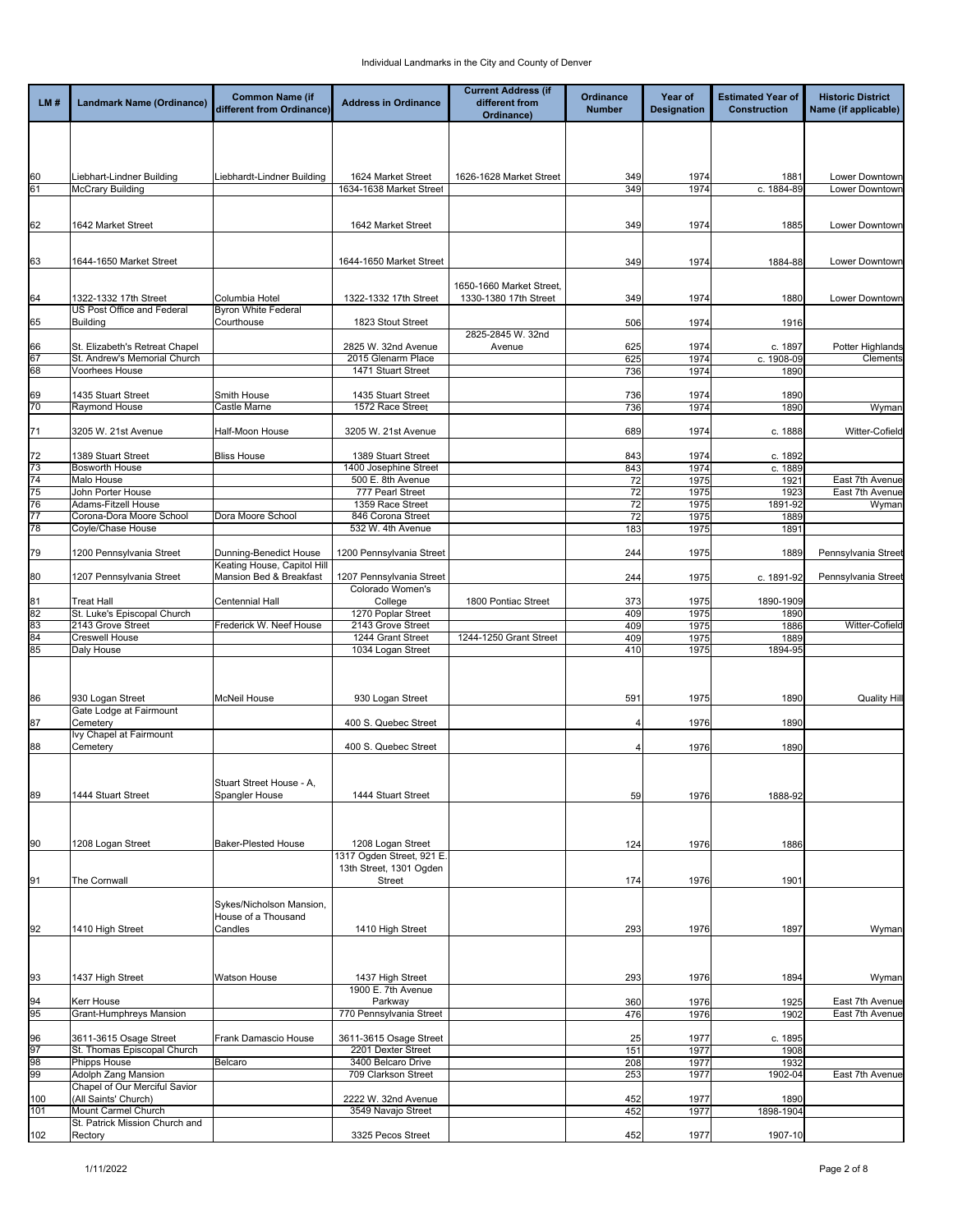| LM#        | Landmark Name (Ordinance)                            | <b>Common Name (if</b><br>different from Ordinance)   | <b>Address in Ordinance</b>                          | <b>Current Address (if</b><br>different from<br>Ordinance) | Ordinance<br><b>Number</b> | Year of<br><b>Designation</b> | <b>Estimated Year of</b><br><b>Construction</b> | <b>Historic District</b><br>Name (if applicable) |
|------------|------------------------------------------------------|-------------------------------------------------------|------------------------------------------------------|------------------------------------------------------------|----------------------------|-------------------------------|-------------------------------------------------|--------------------------------------------------|
|            |                                                      |                                                       |                                                      |                                                            |                            |                               |                                                 |                                                  |
|            |                                                      |                                                       |                                                      |                                                            |                            |                               |                                                 |                                                  |
| 60<br>61   | Liebhart-Lindner Building<br><b>McCrary Building</b> | Liebhardt-Lindner Building                            | 1624 Market Street<br>1634-1638 Market Street        | 1626-1628 Market Street                                    | 349<br>349                 | 1974<br>1974                  | 1881<br>c. 1884-89                              | Lower Downtown<br>Lower Downtown                 |
|            |                                                      |                                                       |                                                      |                                                            |                            |                               |                                                 |                                                  |
| 62         | 1642 Market Street                                   |                                                       | 1642 Market Street                                   |                                                            | 349                        | 1974                          | 1885                                            | Lower Downtown                                   |
|            |                                                      |                                                       |                                                      |                                                            |                            |                               |                                                 |                                                  |
| 63         | 1644-1650 Market Street                              |                                                       | 1644-1650 Market Street                              |                                                            | 349                        | 1974                          | 1884-88                                         | Lower Downtown                                   |
| 64         | 1322-1332 17th Street<br>US Post Office and Federal  | Columbia Hotel<br><b>Byron White Federal</b>          | 1322-1332 17th Street                                | 1650-1660 Market Street,<br>1330-1380 17th Street          | 349                        | 1974                          | 1880                                            | Lower Downtown                                   |
| 65         | <b>Building</b>                                      | Courthouse                                            | 1823 Stout Street                                    |                                                            | 506                        | 1974                          | 1916                                            |                                                  |
| 66         | St. Elizabeth's Retreat Chapel                       |                                                       | 2825 W. 32nd Avenue                                  | 2825-2845 W. 32nd<br>Avenue                                | 625                        | 1974                          | c. 1897                                         | Potter Highlands                                 |
| 67         | St. Andrew's Memorial Church                         |                                                       | 2015 Glenarm Place                                   |                                                            | 625                        | 1974                          | c. 1908-09                                      | Clements                                         |
| 68         | Voorhees House                                       |                                                       | 1471 Stuart Street                                   |                                                            | 736                        | 1974                          | 1890                                            |                                                  |
|            |                                                      | Smith House                                           | 1435 Stuart Street                                   |                                                            |                            |                               |                                                 |                                                  |
| 69<br>70   | 1435 Stuart Street<br>Raymond House                  | Castle Marne                                          | 1572 Race Street                                     |                                                            | 736<br>736                 | 1974<br>1974                  | 1890<br>1890                                    | Wyman                                            |
| 71         | 3205 W. 21st Avenue                                  | Half-Moon House                                       | 3205 W. 21st Avenue                                  |                                                            | 689                        | 1974                          | c. 1888                                         | Witter-Cofield                                   |
|            |                                                      |                                                       |                                                      |                                                            |                            |                               |                                                 |                                                  |
| 72<br>73   | 1389 Stuart Street<br><b>Bosworth House</b>          | <b>Bliss House</b>                                    | 1389 Stuart Street<br>1400 Josephine Street          |                                                            | 843<br>843                 | 1974<br>1974                  | c. 1892<br>c. 1889                              |                                                  |
| 74         | Malo House                                           |                                                       | 500 E. 8th Avenue                                    |                                                            | 72                         | 1975                          | 1921                                            | East 7th Avenue                                  |
| 75         | John Porter House                                    |                                                       | 777 Pearl Street                                     |                                                            | 72                         | 1975                          | 1923                                            | East 7th Avenue                                  |
| 76         | Adams-Fitzell House                                  |                                                       | 1359 Race Street                                     |                                                            | 72                         | 1975                          | 1891-92                                         | Wyman                                            |
|            | Corona-Dora Moore School                             | Dora Moore School                                     | 846 Corona Street                                    |                                                            | 72                         | 1975                          | 1889                                            |                                                  |
| 78<br>79   | Coyle/Chase House                                    |                                                       | 532 W. 4th Avenue                                    |                                                            | 183                        | 1975                          | 1891                                            |                                                  |
|            | 1200 Pennsylvania Street                             | Dunning-Benedict House<br>Keating House, Capitol Hill | 1200 Pennsylvania Street                             |                                                            | 244                        | 1975                          | 1889                                            | Pennsylvania Street                              |
| 80         | 1207 Pennsylvania Street                             | Mansion Bed & Breakfast                               | 1207 Pennsylvania Street<br>Colorado Women's         |                                                            | 244                        | 1975                          | c. 1891-92                                      | Pennsylvania Street                              |
| 81         | <b>Treat Hall</b>                                    | Centennial Hall                                       | College                                              | 1800 Pontiac Street                                        | 373                        | 1975                          | 1890-1909                                       |                                                  |
| 82         | St. Luke's Episcopal Church<br>2143 Grove Street     | Frederick W. Neef House                               | 1270 Poplar Street<br>2143 Grove Street              |                                                            | 409                        | 1975                          | 1890                                            |                                                  |
| 83<br>84   | <b>Creswell House</b>                                |                                                       | 1244 Grant Street                                    | 1244-1250 Grant Street                                     | 409<br>409                 | 1975<br>1975                  | 1886<br>1889                                    | Witter-Cofield                                   |
| 85         | Daly House                                           |                                                       | 1034 Logan Street                                    |                                                            | 410                        | 1975                          | 1894-95                                         |                                                  |
|            |                                                      |                                                       |                                                      |                                                            |                            |                               |                                                 |                                                  |
| 86         | 930 Logan Street<br>Gate Lodge at Fairmount          | McNeil House                                          | 930 Logan Street                                     |                                                            | 591                        | 1975                          | 1890                                            | <b>Quality Hill</b>                              |
| 87         | Cemetery                                             |                                                       | 400 S. Quebec Street                                 |                                                            | 4                          | 1976                          | 1890                                            |                                                  |
| 88         | Ivy Chapel at Fairmount<br>Cemetery                  |                                                       | 400 S. Quebec Street                                 |                                                            |                            | 1976                          | 1890                                            |                                                  |
|            |                                                      | Stuart Street House - A,                              |                                                      |                                                            |                            |                               |                                                 |                                                  |
| 89         | 1444 Stuart Street                                   | Spangler House                                        | 1444 Stuart Street                                   |                                                            | 59                         | 1976                          | 1888-92                                         |                                                  |
|            |                                                      |                                                       |                                                      |                                                            |                            |                               |                                                 |                                                  |
| 90         | 1208 Logan Street                                    | Baker-Plested House                                   | 1208 Logan Street                                    |                                                            | 124                        | 1976                          | 1886                                            |                                                  |
|            |                                                      |                                                       | 1317 Ogden Street, 921 E.<br>13th Street, 1301 Ogden |                                                            |                            |                               |                                                 |                                                  |
| 91         | The Cornwall                                         |                                                       | <b>Street</b>                                        |                                                            | 174                        | 1976                          | 1901                                            |                                                  |
|            |                                                      | Sykes/Nicholson Mansion,<br>House of a Thousand       |                                                      |                                                            |                            |                               |                                                 |                                                  |
| 92         | 1410 High Street                                     | Candles                                               | 1410 High Street                                     |                                                            | 293                        | 1976                          | 1897                                            | Wyman                                            |
|            |                                                      |                                                       |                                                      |                                                            |                            |                               |                                                 |                                                  |
| 93         | 1437 High Street                                     | Watson House                                          | 1437 High Street<br>1900 E. 7th Avenue               |                                                            | 293                        | 1976                          | 1894                                            | Wyman                                            |
| 94         | <b>Kerr House</b>                                    |                                                       | Parkway                                              |                                                            | 360                        | 1976                          | 1925                                            | East 7th Avenue                                  |
| 95         | Grant-Humphreys Mansion                              |                                                       | 770 Pennsylvania Street                              |                                                            | 476                        | 1976                          | 1902                                            | East 7th Avenue                                  |
| 96         | 3611-3615 Osage Street                               | Frank Damascio House                                  | 3611-3615 Osage Street                               |                                                            |                            |                               |                                                 |                                                  |
| 97         | St. Thomas Episcopal Church                          |                                                       | 2201 Dexter Street                                   |                                                            | 25<br>151                  | 1977<br>1977                  | c. 1895<br>1908                                 |                                                  |
| 98         | <b>Phipps House</b>                                  | Belcaro                                               | 3400 Belcaro Drive                                   |                                                            | 208                        | 1977                          | 1932                                            |                                                  |
| 99         | <b>Adolph Zang Mansion</b>                           |                                                       | 709 Clarkson Street                                  |                                                            | 253                        | 1977                          | 1902-04                                         | East 7th Avenue                                  |
|            | Chapel of Our Merciful Savior                        |                                                       |                                                      |                                                            |                            |                               |                                                 |                                                  |
| 100<br>101 | (All Saints' Church)<br>Mount Carmel Church          |                                                       | 2222 W. 32nd Avenue<br>3549 Navajo Street            |                                                            | 452<br>452                 | 1977<br>1977                  | 1890<br>1898-1904                               |                                                  |
|            | St. Patrick Mission Church and                       |                                                       |                                                      |                                                            |                            |                               |                                                 |                                                  |
| 102        | Rectory                                              |                                                       | 3325 Pecos Street                                    |                                                            | 452                        | 1977                          | 1907-10                                         |                                                  |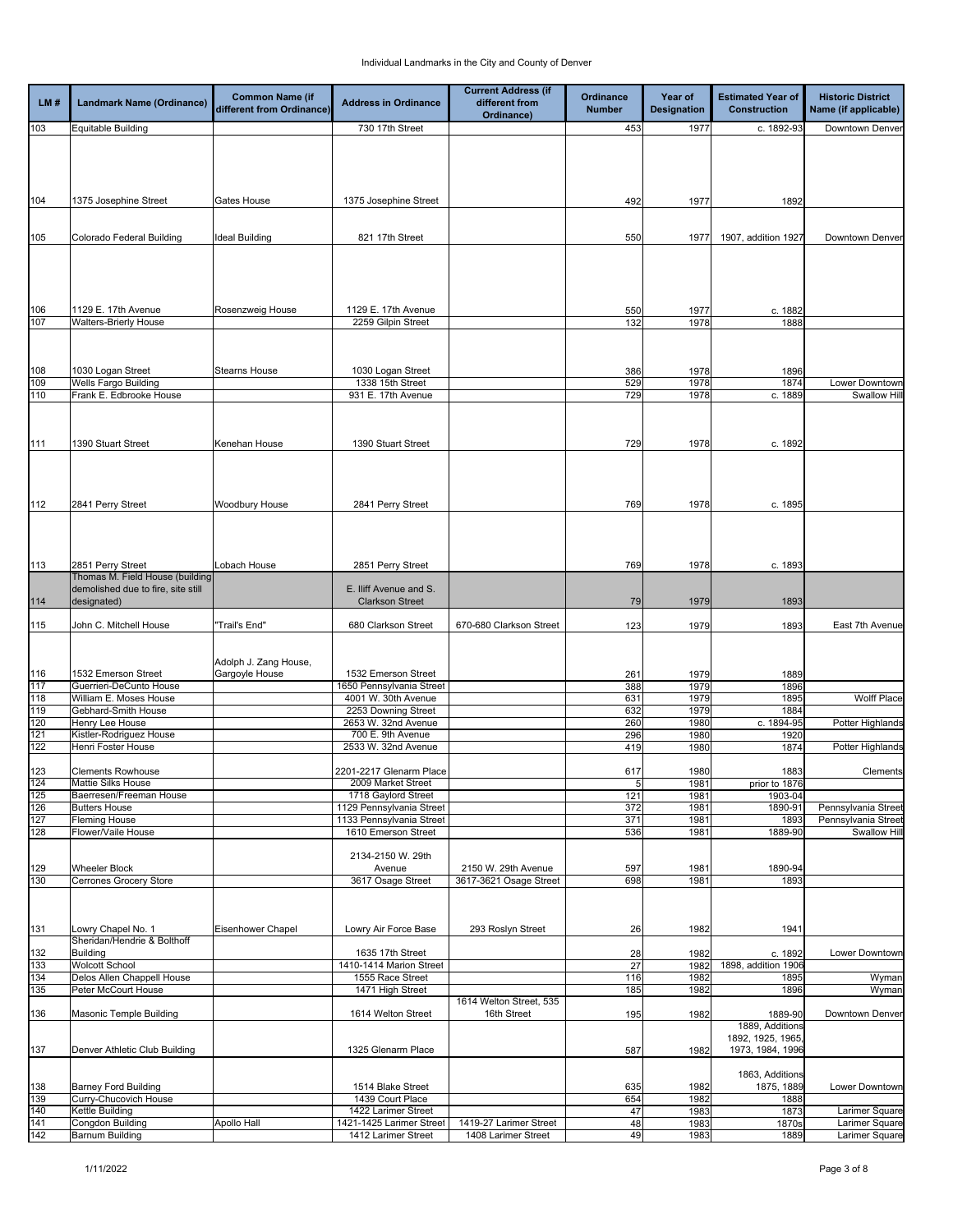| LM#               | Landmark Name (Ordinance)                            | <b>Common Name (if</b><br>different from Ordinance) | <b>Address in Ordinance</b>                      | <b>Current Address (if</b><br>different from<br>Ordinance) | <b>Ordinance</b><br><b>Number</b> | Year of<br><b>Designation</b> | <b>Estimated Year of</b><br><b>Construction</b> | <b>Historic District</b><br>Name (if applicable) |
|-------------------|------------------------------------------------------|-----------------------------------------------------|--------------------------------------------------|------------------------------------------------------------|-----------------------------------|-------------------------------|-------------------------------------------------|--------------------------------------------------|
| 103               | <b>Equitable Building</b>                            |                                                     | 730 17th Street                                  |                                                            | 453                               | 1977                          | c. 1892-93                                      | Downtown Denver                                  |
|                   |                                                      |                                                     |                                                  |                                                            |                                   |                               |                                                 |                                                  |
| 104               | 1375 Josephine Street                                | Gates House                                         | 1375 Josephine Street                            |                                                            | 492                               | 1977                          | 1892                                            |                                                  |
| 105               | Colorado Federal Building                            | Ideal Building                                      | 821 17th Street                                  |                                                            | 550                               | 1977                          | 1907, addition 1927                             | Downtown Denver                                  |
|                   | 1129 E. 17th Avenue                                  |                                                     | 1129 E. 17th Avenue                              |                                                            | 550                               | 1977                          | c. 1882                                         |                                                  |
| 106<br>107        | <b>Walters-Brierly House</b>                         | Rosenzweig House                                    | 2259 Gilpin Street                               |                                                            | 132                               | 1978                          | 1888                                            |                                                  |
|                   |                                                      |                                                     |                                                  |                                                            |                                   |                               |                                                 |                                                  |
| 108               | 1030 Logan Street                                    | <b>Stearns House</b>                                | 1030 Logan Street                                |                                                            | 386                               | 1978                          | 1896                                            |                                                  |
| 109               | <b>Wells Fargo Building</b>                          |                                                     | 1338 15th Street                                 |                                                            | 529                               | 1978                          | 1874                                            | Lower Downtown                                   |
| 110               | Frank E. Edbrooke House                              |                                                     | 931 E. 17th Avenue                               |                                                            | 729                               | 1978                          | c. 1889                                         | Swallow Hil                                      |
| 111               | 1390 Stuart Street                                   | Kenehan House                                       | 1390 Stuart Street                               |                                                            | 729                               | 1978                          | c. 1892                                         |                                                  |
|                   |                                                      |                                                     |                                                  |                                                            |                                   |                               |                                                 |                                                  |
| 112               | 2841 Perry Street                                    | Woodbury House                                      | 2841 Perry Street                                |                                                            | 769                               | 1978                          | c. 1895                                         |                                                  |
| $\frac{113}{1}$   | 2851 Perry Street<br>Thomas M. Field House (building | Lobach House                                        | 2851 Perry Street                                |                                                            | 769                               | 1978                          | c. 1893                                         |                                                  |
| 114               | demolished due to fire, site still<br>designated)    |                                                     | E. Iliff Avenue and S.<br><b>Clarkson Street</b> |                                                            | 79                                | 1979                          | 1893                                            |                                                  |
| 115               | John C. Mitchell House                               | "Trail's End"                                       | 680 Clarkson Street                              | 670-680 Clarkson Street                                    | 123                               | 1979                          | 1893                                            | East 7th Avenue                                  |
|                   | 1532 Emerson Street                                  | Adolph J. Zang House,<br>Gargoyle House             | 1532 Emerson Street                              |                                                            | 261                               | 1979                          | 1889                                            |                                                  |
| $\frac{116}{117}$ | Guerrieri-DeCunto House                              |                                                     | 1650 Pennsylvania Street                         |                                                            | 388                               | 1979                          | 1896                                            |                                                  |
| 118               | William E. Moses House                               |                                                     | 4001 W. 30th Avenue                              |                                                            | 631                               | 1979                          | 1895                                            | <b>Wolff Place</b>                               |
| 119<br>120        | Gebhard-Smith House<br>Henry Lee House               |                                                     | 2253 Downing Street<br>2653 W. 32nd Avenue       |                                                            | 632<br>260                        | 1979<br>1980                  | 1884<br>c. 1894-95                              | Potter Highlands                                 |
| 121               | Kistler-Rodriguez House                              |                                                     | 700 E. 9th Avenue                                |                                                            | 296                               | 1980                          | 1920                                            |                                                  |
| 122               | <b>Henri Foster House</b>                            |                                                     | 2533 W. 32nd Avenue                              |                                                            | 419                               | 1980                          | 1874                                            | Potter Highlands                                 |
| 123               | <b>Clements Rowhouse</b>                             |                                                     | 2201-2217 Glenarm Place                          |                                                            | 617                               | 1980                          | 1883                                            | Clements                                         |
| $\frac{124}{125}$ | <b>Mattie Silks House</b><br>Baerresen/Freeman House |                                                     | 2009 Market Street<br>1718 Gaylord Street        |                                                            | G<br>121                          | 1981<br>1981                  | prior to 1876<br>1903-04                        |                                                  |
| 126               | <b>Butters House</b>                                 |                                                     | 1129 Pennsylvania Street                         |                                                            | 372                               | 1981                          | 1890-91                                         | Pennsylvania Street                              |
| 127               | <b>Fleming House</b>                                 |                                                     | 1133 Pennsylvania Street                         |                                                            | 371                               | 1981                          | 1893                                            | Pennsylvania Street                              |
| 128               | Flower/Vaile House                                   |                                                     | 1610 Emerson Street                              |                                                            | 536                               | 1981                          | 1889-90                                         | Swallow Hil                                      |
| 129               | <b>Wheeler Block</b>                                 |                                                     | 2134-2150 W. 29th<br>Avenue                      | 2150 W. 29th Avenue                                        | 597                               | 1981                          | 1890-94                                         |                                                  |
| 130               | <b>Cerrones Grocery Store</b>                        |                                                     | 3617 Osage Street                                | 3617-3621 Osage Street                                     | 698                               | 1981                          | 1893                                            |                                                  |
| 131               | Lowry Chapel No. 1<br>Sheridan/Hendrie & Bolthoff    | Eisenhower Chapel                                   | Lowry Air Force Base                             | 293 Roslyn Street                                          | 26                                | 1982                          | 1941                                            |                                                  |
| 132               | <b>Building</b>                                      |                                                     | 1635 17th Street                                 |                                                            | 28                                | 1982                          | c. 1892                                         | Lower Downtown                                   |
| 133               | <b>Wolcott School</b>                                |                                                     | 1410-1414 Marion Street                          |                                                            | 27                                | 1982                          | 1898, addition 1906                             |                                                  |
| 134<br>135        | Delos Allen Chappell House<br>Peter McCourt House    |                                                     | 1555 Race Street<br>1471 High Street             |                                                            | 116<br>185                        | 1982<br>1982                  | 1895<br>1896                                    | Wyman<br>Wyman                                   |
| 136               | <b>Masonic Temple Building</b>                       |                                                     | 1614 Welton Street                               | 1614 Welton Street, 535<br>16th Street                     | 195                               | 1982                          | 1889-90<br>1889, Additions                      | Downtown Denver                                  |
| 137               | Denver Athletic Club Building                        |                                                     | 1325 Glenarm Place                               |                                                            | 587                               | 1982                          | 1892, 1925, 1965,<br>1973, 1984, 1996           |                                                  |
| 138               | <b>Barney Ford Building</b>                          |                                                     | 1514 Blake Street                                |                                                            | 635                               | 1982                          | 1863, Additions<br>1875, 1889                   | Lower Downtown                                   |
| 139               | Curry-Chucovich House                                |                                                     | 1439 Court Place                                 |                                                            | 654                               | 1982                          | 1888                                            |                                                  |
| 140<br>141        | Kettle Building<br><b>Congdon Building</b>           |                                                     | 1422 Larimer Street<br>1421-1425 Larimer Street  | 1419-27 Larimer Street                                     | 47                                | 1983                          | 1873                                            | Larimer Square                                   |
| 142               | <b>Barnum Building</b>                               | Apollo Hall                                         | 1412 Larimer Street                              | 1408 Larimer Street                                        | 48<br>49                          | 1983<br>1983                  | 1870s<br>1889                                   | Larimer Square<br>Larimer Square                 |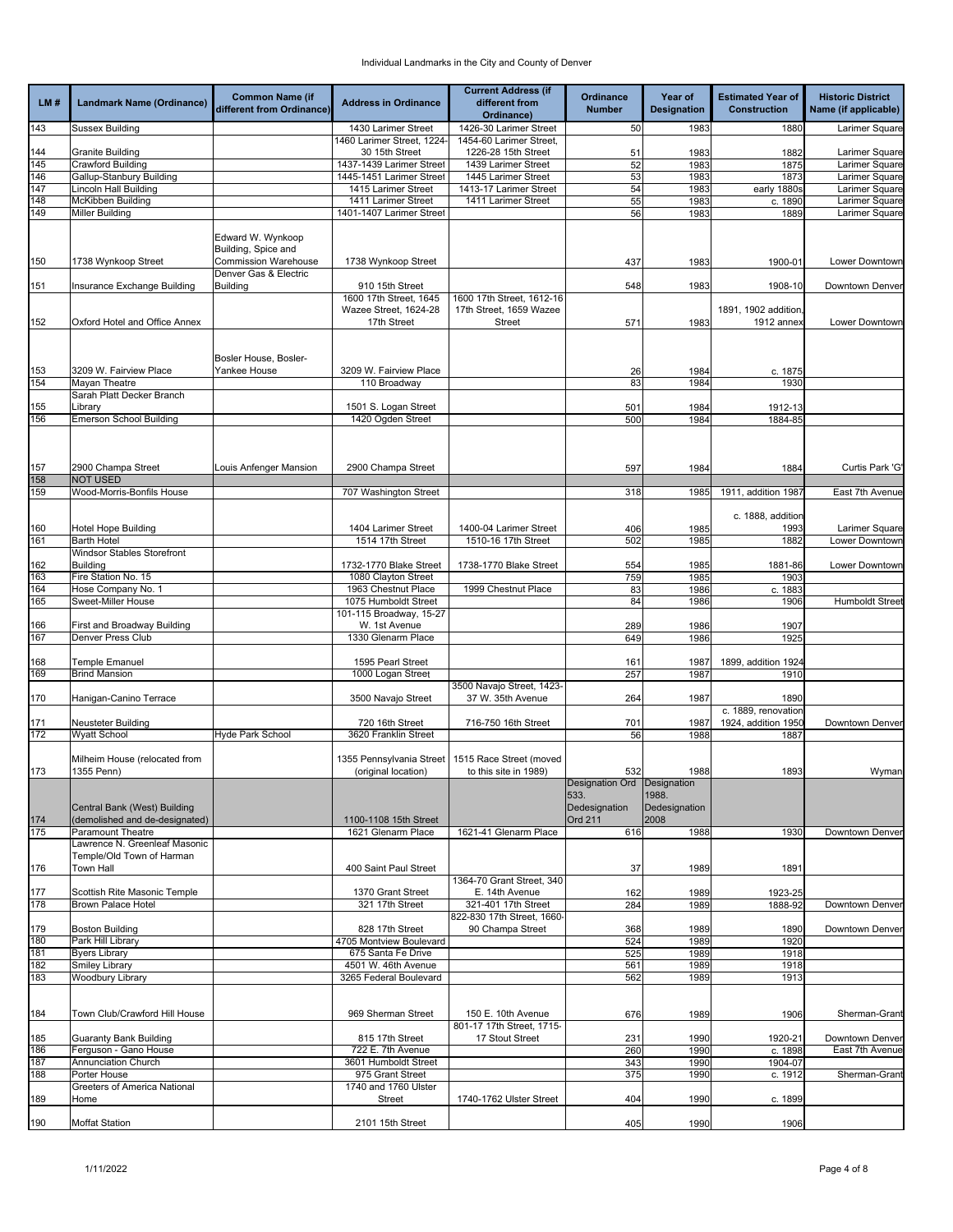|            |                                                            | <b>Common Name (if</b>                             |                                                 | <b>Current Address (if</b>                    | Ordinance       | Year of            | <b>Estimated Year of</b>    | <b>Historic District</b>         |
|------------|------------------------------------------------------------|----------------------------------------------------|-------------------------------------------------|-----------------------------------------------|-----------------|--------------------|-----------------------------|----------------------------------|
| LM#        | <b>Landmark Name (Ordinance)</b>                           | different from Ordinance)                          | <b>Address in Ordinance</b>                     | different from<br>Ordinance)                  | <b>Number</b>   | <b>Designation</b> | <b>Construction</b>         | Name (if applicable)             |
| 143        | <b>Sussex Building</b>                                     |                                                    | 1430 Larimer Street                             | 1426-30 Larimer Street                        | 50              | 1983               | 1880                        | Larimer Square                   |
|            |                                                            |                                                    | 1460 Larimer Street, 1224-                      | 1454-60 Larimer Street,                       |                 |                    |                             |                                  |
| 144        | <b>Granite Building</b>                                    |                                                    | 30 15th Street                                  | 1226-28 15th Street                           | 51              | 1983               | 1882                        | Larimer Square                   |
| 145        | <b>Crawford Building</b>                                   |                                                    | 1437-1439 Larimer Street                        | 1439 Larimer Street                           | 52              | 1983               | 1875                        | Larimer Square                   |
| 146<br>147 | Gallup-Stanbury Building<br><b>Lincoln Hall Building</b>   |                                                    | 1445-1451 Larimer Street<br>1415 Larimer Street | 1445 Larimer Street<br>1413-17 Larimer Street | 53<br>54        | 1983<br>1983       | 1873<br>early 1880s         | Larimer Square<br>Larimer Square |
| 148        | McKibben Building                                          |                                                    | 1411 Larimer Street                             | 1411 Larimer Street                           | 55              | 1983               | c. 1890                     | Larimer Square                   |
| 149        | <b>Miller Building</b>                                     |                                                    | 1401-1407 Larimer Street                        |                                               | 56              | 1983               | 1889                        | Larimer Square                   |
|            |                                                            |                                                    |                                                 |                                               |                 |                    |                             |                                  |
|            |                                                            | Edward W. Wynkoop                                  |                                                 |                                               |                 |                    |                             |                                  |
| 150        | 1738 Wynkoop Street                                        | Building, Spice and<br><b>Commission Warehouse</b> | 1738 Wynkoop Street                             |                                               | 437             | 1983               | 1900-01                     | Lower Downtown                   |
|            |                                                            | Denver Gas & Electric                              |                                                 |                                               |                 |                    |                             |                                  |
| 151        | Insurance Exchange Building                                | <b>Building</b>                                    | 910 15th Street                                 |                                               | 548             | 1983               | 1908-10                     | Downtown Denver                  |
|            |                                                            |                                                    | 1600 17th Street, 1645                          | 1600 17th Street, 1612-16                     |                 |                    |                             |                                  |
|            |                                                            |                                                    | Wazee Street, 1624-28                           | 17th Street, 1659 Wazee                       |                 |                    | 1891, 1902 addition,        |                                  |
| 152        | Oxford Hotel and Office Annex                              |                                                    | 17th Street                                     | <b>Street</b>                                 | 571             | 1983               | 1912 annex                  | Lower Downtown                   |
|            |                                                            |                                                    |                                                 |                                               |                 |                    |                             |                                  |
|            |                                                            | Bosler House, Bosler-                              |                                                 |                                               |                 |                    |                             |                                  |
| 153        | 3209 W. Fairview Place                                     | Yankee House                                       | 3209 W. Fairview Place                          |                                               | 26              | 1984               | c. 1875                     |                                  |
| 154        | Mayan Theatre                                              |                                                    | 110 Broadway                                    |                                               | 83              | 1984               | 1930                        |                                  |
|            | Sarah Platt Decker Branch                                  |                                                    |                                                 |                                               |                 |                    |                             |                                  |
| 155        | Library                                                    |                                                    | 1501 S. Logan Street<br>1420 Ogden Street       |                                               | 501             | 1984<br>1984       | 1912-13                     |                                  |
| 156        | <b>Emerson School Building</b>                             |                                                    |                                                 |                                               | 500             |                    | 1884-85                     |                                  |
|            |                                                            |                                                    |                                                 |                                               |                 |                    |                             |                                  |
|            |                                                            |                                                    |                                                 |                                               |                 |                    |                             |                                  |
| 157        | 2900 Champa Street                                         | Louis Anfenger Mansion                             | 2900 Champa Street                              |                                               | 597             | 1984               | 1884                        | Curtis Park 'G'                  |
| 158        | <b>NOT USED</b>                                            |                                                    |                                                 |                                               |                 |                    |                             |                                  |
| 159        | Wood-Morris-Bonfils House                                  |                                                    | 707 Washington Street                           |                                               | 318             | 1985               | 1911, addition 1987         | East 7th Avenue                  |
|            |                                                            |                                                    |                                                 |                                               |                 |                    | c. 1888, addition           |                                  |
| 160        | <b>Hotel Hope Building</b>                                 |                                                    | 1404 Larimer Street                             | 1400-04 Larimer Street                        | 406             | 1985               | 1993                        | Larimer Square                   |
| 161        | <b>Barth Hotel</b>                                         |                                                    | 1514 17th Street                                | 1510-16 17th Street                           | 502             | 1985               | 1882                        | Lower Downtown                   |
|            | Windsor Stables Storefront                                 |                                                    |                                                 |                                               |                 |                    |                             |                                  |
| 162        | <b>Building</b>                                            |                                                    | 1732-1770 Blake Street                          | 1738-1770 Blake Street                        | 554             | 1985               | 1881-86                     | Lower Downtown                   |
| 163<br>164 | Fire Station No. 15<br>Hose Company No. 1                  |                                                    | 1080 Clayton Street<br>1963 Chestnut Place      | 1999 Chestnut Place                           | 759             | 1985<br>1986       | 1903<br>c. 1883             |                                  |
| 165        | Sweet-Miller House                                         |                                                    | 1075 Humboldt Street                            |                                               | 83<br>84        | 1986               | 1906                        | Humboldt Street                  |
|            |                                                            |                                                    | 101-115 Broadway, 15-27                         |                                               |                 |                    |                             |                                  |
| 166        | First and Broadway Building                                |                                                    | W. 1st Avenue                                   |                                               | 289             | 1986               | 1907                        |                                  |
| 167        | <b>Denver Press Club</b>                                   |                                                    | 1330 Glenarm Place                              |                                               | 649             | 1986               | 1925                        |                                  |
|            |                                                            |                                                    |                                                 |                                               |                 |                    |                             |                                  |
| 168<br>169 | Temple Emanuel<br><b>Brind Mansion</b>                     |                                                    | 1595 Pearl Street<br>1000 Logan Street          |                                               | 161<br>257      | 1987<br>1987       | 1899, addition 1924<br>1910 |                                  |
|            |                                                            |                                                    |                                                 | 3500 Navajo Street, 1423-                     |                 |                    |                             |                                  |
| 170        | Hanigan-Canino Terrace                                     |                                                    | 3500 Navajo Street                              | 37 W. 35th Avenue                             | 264             | 1987               | 1890                        |                                  |
|            |                                                            |                                                    |                                                 |                                               |                 |                    | c. 1889, renovation         |                                  |
| 171        | Neusteter Building                                         |                                                    | 720 16th Street                                 | 716-750 16th Street                           | 701             | 1987               | 1924, addition 1950         | <b>Downtown Denver</b>           |
| 172        | <b>Wyatt School</b>                                        | Hyde Park School                                   | 3620 Franklin Street                            |                                               | 56              | 1988               | 1887                        |                                  |
|            | Milheim House (relocated from                              |                                                    | 1355 Pennsylvania Street                        | 1515 Race Street (moved                       |                 |                    |                             |                                  |
| 173        | 1355 Penn)                                                 |                                                    | (original location)                             | to this site in 1989)                         | 532             | 1988               | 1893                        | Wyman                            |
|            |                                                            |                                                    |                                                 |                                               | Designation Ord | Designation        |                             |                                  |
|            |                                                            |                                                    |                                                 |                                               | 533.            | 1988.              |                             |                                  |
|            | Central Bank (West) Building                               |                                                    |                                                 |                                               | Dedesignation   | Dedesignation      |                             |                                  |
| 174<br>175 | (demolished and de-designated)<br><b>Paramount Theatre</b> |                                                    | 1100-1108 15th Street<br>1621 Glenarm Place     | 1621-41 Glenarm Place                         | Ord 211<br>616  | 2008<br>1988       | 1930                        | Downtown Denver                  |
|            | Lawrence N. Greenleaf Masonic                              |                                                    |                                                 |                                               |                 |                    |                             |                                  |
|            | Temple/Old Town of Harman                                  |                                                    |                                                 |                                               |                 |                    |                             |                                  |
| 176        | Town Hall                                                  |                                                    | 400 Saint Paul Street                           |                                               | 37              | 1989               | 1891                        |                                  |
|            |                                                            |                                                    |                                                 | 1364-70 Grant Street, 340                     |                 |                    |                             |                                  |
| 177        | Scottish Rite Masonic Temple<br><b>Brown Palace Hotel</b>  |                                                    | 1370 Grant Street                               | E. 14th Avenue<br>321-401 17th Street         | 162             | 1989               | 1923-25                     |                                  |
| 178        |                                                            |                                                    | 321 17th Street                                 | 822-830 17th Street, 1660-                    | 284             | 1989               | 1888-92                     | Downtown Denver                  |
| 179        | <b>Boston Building</b>                                     |                                                    | 828 17th Street                                 | 90 Champa Street                              | 368             | 1989               | 1890                        | Downtown Denver                  |
| 180        | Park Hill Library                                          |                                                    | 4705 Montview Boulevard                         |                                               | 524             | 1989               | 1920                        |                                  |
| 181        | <b>Byers Library</b>                                       |                                                    | 675 Santa Fe Drive                              |                                               | 525             | 1989               | 1918                        |                                  |
| 182        | Smiley Library                                             |                                                    | 4501 W. 46th Avenue                             |                                               | 561             | 1989               | 1918                        |                                  |
| 183        | <b>Woodbury Library</b>                                    |                                                    | 3265 Federal Boulevard                          |                                               | 562             | 1989               | 1913                        |                                  |
|            |                                                            |                                                    |                                                 |                                               |                 |                    |                             |                                  |
| 184        | Town Club/Crawford Hill House                              |                                                    | 969 Sherman Street                              | 150 E. 10th Avenue                            | 676             | 1989               | 1906                        | Sherman-Grant                    |
|            |                                                            |                                                    |                                                 | 801-17 17th Street, 1715-                     |                 |                    |                             |                                  |
| 185        | <b>Guaranty Bank Building</b>                              |                                                    | 815 17th Street                                 | 17 Stout Street                               | 231             | 1990               | 1920-21                     | Downtown Denver                  |
| 186        | Ferguson - Gano House                                      |                                                    | 722 E. 7th Avenue                               |                                               | 260             | 1990               | c. 1898                     | East 7th Avenue                  |
| 187<br>188 | Annunciation Church<br>Porter House                        |                                                    | 3601 Humboldt Street<br>975 Grant Street        |                                               | 343<br>375      | 1990<br>1990       | 1904-07<br>c. 1912          | Sherman-Grant                    |
|            | Greeters of America National                               |                                                    | 1740 and 1760 Ulster                            |                                               |                 |                    |                             |                                  |
| 189        | Home                                                       |                                                    | Street                                          | 1740-1762 Ulster Street                       | 404             | 1990               | c. 1899                     |                                  |
|            |                                                            |                                                    |                                                 |                                               |                 |                    |                             |                                  |
| 190        | <b>Moffat Station</b>                                      |                                                    | 2101 15th Street                                |                                               | 405             | 1990               | 1906                        |                                  |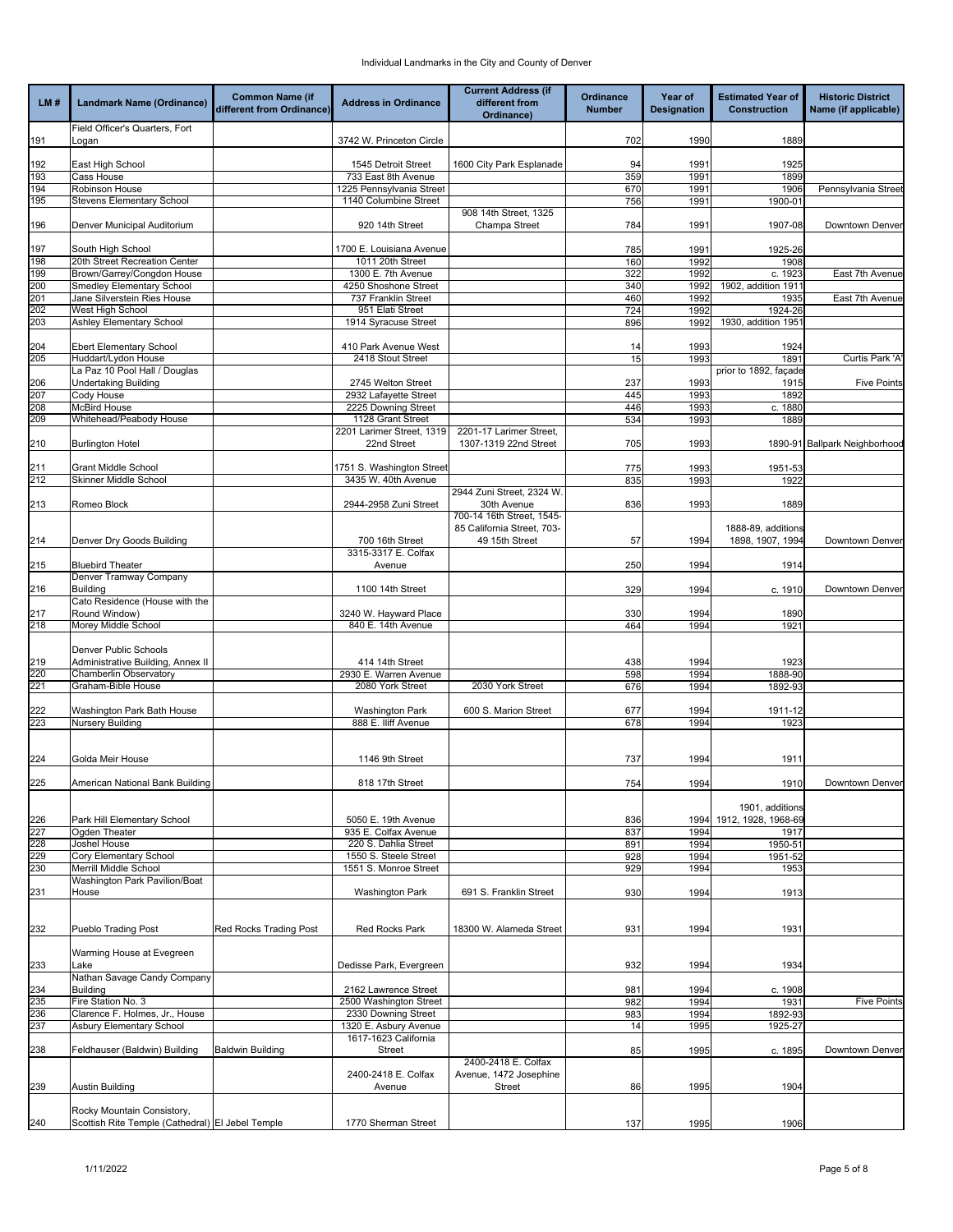|            |                                                    | <b>Common Name (if</b>    |                                              | <b>Current Address (if</b>               | Ordinance     | Year of            | <b>Estimated Year of</b>      | <b>Historic District</b>      |
|------------|----------------------------------------------------|---------------------------|----------------------------------------------|------------------------------------------|---------------|--------------------|-------------------------------|-------------------------------|
| LM#        | Landmark Name (Ordinance)                          | different from Ordinance) | <b>Address in Ordinance</b>                  | different from                           | <b>Number</b> | <b>Designation</b> | <b>Construction</b>           | Name (if applicable)          |
|            |                                                    |                           |                                              | Ordinance)                               |               |                    |                               |                               |
|            | Field Officer's Quarters, Fort                     |                           |                                              |                                          |               |                    |                               |                               |
| 191        | Logan                                              |                           | 3742 W. Princeton Circle                     |                                          | 702           | 1990               | 1889                          |                               |
| 192        | East High School                                   |                           | 1545 Detroit Street                          | 1600 City Park Esplanade                 | 94            | 1991               | 1925                          |                               |
| 193        | Cass House                                         |                           | 733 East 8th Avenue                          |                                          | 359           | 1991               | 1899                          |                               |
| 194        | Robinson House                                     |                           | 1225 Pennsylvania Street                     |                                          | 670           | 1991               | 1906                          | Pennsylvania Street           |
| 195        | Stevens Elementary School                          |                           | 1140 Columbine Street                        |                                          | 756           | 1991               | 1900-01                       |                               |
|            |                                                    |                           |                                              | 908 14th Street, 1325                    |               |                    |                               |                               |
| 196        | Denver Municipal Auditorium                        |                           | 920 14th Street                              | Champa Street                            | 784           | 1991               | 1907-08                       | Downtown Denver               |
|            |                                                    |                           |                                              |                                          |               |                    |                               |                               |
| 197<br>198 | South High School<br>20th Street Recreation Center |                           | 1700 E. Louisiana Avenue<br>1011 20th Street |                                          | 785<br>160    | 1991<br>1992       | 1925-26<br>1908               |                               |
| 199        | Brown/Garrey/Congdon House                         |                           | 1300 E. 7th Avenue                           |                                          | 322           | 1992               | c. 1923                       | East 7th Avenue               |
| 200        | <b>Smedley Elementary School</b>                   |                           | 4250 Shoshone Street                         |                                          | 340           | 1992               | 1902, addition 1911           |                               |
| 201        | Jane Silverstein Ries House                        |                           | 737 Franklin Street                          |                                          | 460           | 1992               | 1935                          | East 7th Avenue               |
| 202        | West High School                                   |                           | 951 Elati Street                             |                                          | 724           | 1992               | 1924-26                       |                               |
| 203        | Ashley Elementary School                           |                           | 1914 Syracuse Street                         |                                          | 896           | 1992               | 1930, addition 195            |                               |
|            |                                                    |                           |                                              |                                          |               |                    |                               |                               |
| 204        | <b>Ebert Elementary School</b>                     |                           | 410 Park Avenue West                         |                                          | 14            | 1993               | 1924                          |                               |
| 205        | Huddart/Lydon House                                |                           | 2418 Stout Street                            |                                          | 15            | 1993               | 1891                          | Curtis Park 'A                |
|            | La Paz 10 Pool Hall / Douglas                      |                           | 2745 Welton Street                           |                                          |               |                    | prior to 1892, façade<br>1915 | <b>Five Points</b>            |
| 206<br>207 | Undertaking Building<br>Cody House                 |                           | 2932 Lafayette Street                        |                                          | 237<br>445    | 1993<br>1993       | 1892                          |                               |
| 208        | <b>McBird House</b>                                |                           | 2225 Downing Street                          |                                          | 446           | 1993               | c.1880                        |                               |
| 209        | Whitehead/Peabody House                            |                           | 1128 Grant Street                            |                                          | 534           | 1993               | 1889                          |                               |
|            |                                                    |                           | 2201 Larimer Street, 1319                    | 2201-17 Larimer Street,                  |               |                    |                               |                               |
| 210        | <b>Burlington Hotel</b>                            |                           | 22nd Street                                  | 1307-1319 22nd Street                    | 705           | 1993               |                               | 1890-91 Ballpark Neighborhood |
|            |                                                    |                           |                                              |                                          |               |                    |                               |                               |
| 211        | <b>Grant Middle School</b>                         |                           | 1751 S. Washington Street                    |                                          | 775           | 1993               | 1951-53                       |                               |
| 212        | Skinner Middle School                              |                           | 3435 W. 40th Avenue                          |                                          | 835           | 1993               | 1922                          |                               |
|            |                                                    |                           |                                              | 2944 Zuni Street, 2324 W.                |               |                    |                               |                               |
| 213        | Romeo Block                                        |                           | 2944-2958 Zuni Street                        | 30th Avenue<br>700-14 16th Street, 1545- | 836           | 1993               | 1889                          |                               |
|            |                                                    |                           |                                              | 85 California Street, 703-               |               |                    | 1888-89, additions            |                               |
| 214        | Denver Dry Goods Building                          |                           | 700 16th Street                              | 49 15th Street                           | 57            | 1994               | 1898, 1907, 1994              | Downtown Denver               |
|            |                                                    |                           | 3315-3317 E. Colfax                          |                                          |               |                    |                               |                               |
| 215        | <b>Bluebird Theater</b>                            |                           | Avenue                                       |                                          | 250           | 1994               | 1914                          |                               |
|            | Denver Tramway Company                             |                           |                                              |                                          |               |                    |                               |                               |
| 216        | <b>Building</b>                                    |                           | 1100 14th Street                             |                                          | 329           | 1994               | c. 1910                       | Downtown Denver               |
|            | Cato Residence (House with the                     |                           |                                              |                                          |               |                    |                               |                               |
| 217        | Round Window)                                      |                           | 3240 W. Hayward Place                        |                                          | 330           | 1994               | 1890                          |                               |
| 218        | Morey Middle School                                |                           | 840 E. 14th Avenue                           |                                          | 464           | 1994               | 1921                          |                               |
|            | Denver Public Schools                              |                           |                                              |                                          |               |                    |                               |                               |
| 219        | Administrative Building, Annex II                  |                           | 414 14th Street                              |                                          | 438           | 1994               | 1923                          |                               |
| 220        | Chamberlin Observatory                             |                           | 2930 E. Warren Avenue                        |                                          | 598           | 1994               | 1888-90                       |                               |
| 221        | Graham-Bible House                                 |                           | 2080 York Street                             | 2030 York Street                         | 676           | 1994               | 1892-93                       |                               |
|            |                                                    |                           |                                              |                                          |               |                    |                               |                               |
| 222        | Washington Park Bath House                         |                           | <b>Washington Park</b>                       | 600 S. Marion Street                     | 677           | 1994               | 1911-12                       |                               |
| 223        | <b>Nursery Building</b>                            |                           | 888 E. Iliff Avenue                          |                                          | 678           | 1994               | 1923                          |                               |
|            |                                                    |                           |                                              |                                          |               |                    |                               |                               |
|            |                                                    |                           |                                              |                                          |               |                    |                               |                               |
| 224        | Golda Meir House                                   |                           | 1146 9th Street                              |                                          | 737           | 1994               | 1911                          |                               |
|            |                                                    |                           |                                              |                                          |               |                    |                               |                               |
| 225        | American National Bank Building                    |                           | 818 17th Street                              |                                          | 754           | 1994               | 1910                          | Downtown Denver               |
|            |                                                    |                           |                                              |                                          |               |                    | 1901, additions               |                               |
| 226        | Park Hill Elementary School                        |                           | 5050 E. 19th Avenue                          |                                          | 836           | 1994               | 1912, 1928, 1968-69           |                               |
| 227        | Ogden Theater                                      |                           | 935 E. Colfax Avenue                         |                                          | 837           | 1994               | 1917                          |                               |
| 228        | Joshel House                                       |                           | 220 S. Dahlia Street                         |                                          | 891           | 1994               | 1950-51                       |                               |
| 229        | Cory Elementary School                             |                           | 1550 S. Steele Street                        |                                          | 928           | 1994               | 1951-52                       |                               |
| 230        | Merrill Middle School                              |                           | 1551 S. Monroe Street                        |                                          | 929           | 1994               | 1953                          |                               |
|            | Washington Park Pavilion/Boat                      |                           |                                              |                                          |               |                    |                               |                               |
| 231        | House                                              |                           | <b>Washington Park</b>                       | 691 S. Franklin Street                   | 930           | 1994               | 1913                          |                               |
|            |                                                    |                           |                                              |                                          |               |                    |                               |                               |
| 232        | <b>Pueblo Trading Post</b>                         | Red Rocks Trading Post    | <b>Red Rocks Park</b>                        | 18300 W. Alameda Street                  | 931           | 1994               | 1931                          |                               |
|            |                                                    |                           |                                              |                                          |               |                    |                               |                               |
|            | Warming House at Evegreen                          |                           |                                              |                                          |               |                    |                               |                               |
| 233        | Lake                                               |                           | Dedisse Park, Evergreen                      |                                          | 932           | 1994               | 1934                          |                               |
|            | Nathan Savage Candy Company                        |                           |                                              |                                          |               |                    |                               |                               |
| 234        | <b>Building</b>                                    |                           | 2162 Lawrence Street                         |                                          | 981           | 1994               | c. 1908                       |                               |
| 235        | Fire Station No. 3                                 |                           | 2500 Washington Street                       |                                          | 982           | 1994               | 1931                          | <b>Five Points</b>            |
| 236        | Clarence F. Holmes, Jr., House                     |                           | 2330 Downing Street                          |                                          | 983           | 1994               | 1892-93                       |                               |
| 237        | Asbury Elementary School                           |                           | 1320 E. Asbury Avenue                        |                                          | 14            | 1995               | 1925-27                       |                               |
|            |                                                    |                           | 1617-1623 California                         |                                          |               |                    |                               |                               |
| 238        | Feldhauser (Baldwin) Building                      | <b>Baldwin Building</b>   | Street                                       | 2400-2418 E. Colfax                      | 85            | 1995               | c. 1895                       | Downtown Denver               |
|            |                                                    |                           | 2400-2418 E. Colfax                          | Avenue, 1472 Josephine                   |               |                    |                               |                               |
| 239        | Austin Building                                    |                           | Avenue                                       | Street                                   | 86            | 1995               | 1904                          |                               |
|            |                                                    |                           |                                              |                                          |               |                    |                               |                               |
|            | Rocky Mountain Consistory,                         |                           |                                              |                                          |               |                    |                               |                               |
| 240        | Scottish Rite Temple (Cathedral) El Jebel Temple   |                           | 1770 Sherman Street                          |                                          | 137           | 1995               | 1906                          |                               |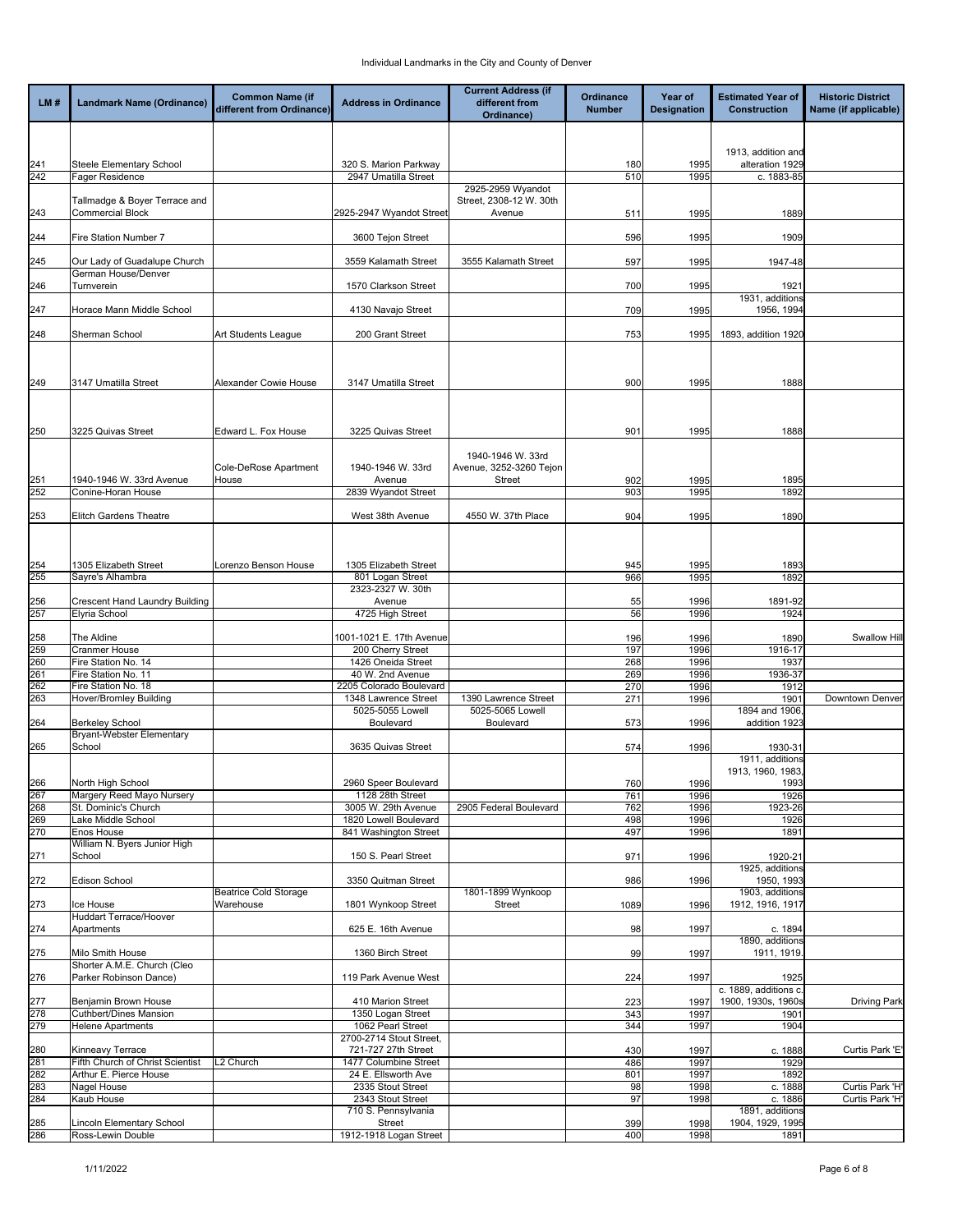| LM#        | <b>Landmark Name (Ordinance)</b>                         | <b>Common Name (if</b><br>different from Ordinance) | <b>Address in Ordinance</b>                                         | <b>Current Address (if</b><br>different from<br>Ordinance) | Ordinance<br><b>Number</b> | Year of<br><b>Designation</b> | <b>Estimated Year of</b><br><b>Construction</b> | <b>Historic District</b><br>Name (if applicable) |
|------------|----------------------------------------------------------|-----------------------------------------------------|---------------------------------------------------------------------|------------------------------------------------------------|----------------------------|-------------------------------|-------------------------------------------------|--------------------------------------------------|
|            |                                                          |                                                     |                                                                     |                                                            |                            |                               |                                                 |                                                  |
|            |                                                          |                                                     |                                                                     |                                                            |                            |                               | 1913, addition and                              |                                                  |
| 241<br>242 | Steele Elementary School<br>Fager Residence              |                                                     | 320 S. Marion Parkway<br>2947 Umatilla Street                       |                                                            | 180<br>510                 | 1995<br>1995                  | alteration 1929<br>c. 1883-85                   |                                                  |
|            |                                                          |                                                     |                                                                     | 2925-2959 Wyandot                                          |                            |                               |                                                 |                                                  |
| 243        | Tallmadge & Boyer Terrace and<br><b>Commercial Block</b> |                                                     | 2925-2947 Wyandot Street                                            | Street, 2308-12 W. 30th<br>Avenue                          | 511                        | 1995                          | 1889                                            |                                                  |
| 244        | Fire Station Number 7                                    |                                                     | 3600 Tejon Street                                                   |                                                            | 596                        | 1995                          | 1909                                            |                                                  |
| 245        | Our Lady of Guadalupe Church                             |                                                     | 3559 Kalamath Street                                                | 3555 Kalamath Street                                       | 597                        | 1995                          | 1947-48                                         |                                                  |
| 246        | German House/Denver<br>Turnverein                        |                                                     | 1570 Clarkson Street                                                |                                                            | 700                        | 1995                          | 1921                                            |                                                  |
| 247        | Horace Mann Middle School                                |                                                     | 4130 Navajo Street                                                  |                                                            | 709                        | 1995                          | 1931, additions<br>1956, 1994                   |                                                  |
| 248        | Sherman School                                           | Art Students League                                 | 200 Grant Street                                                    |                                                            | 753                        | 1995                          | 1893, addition 1920                             |                                                  |
|            |                                                          |                                                     |                                                                     |                                                            |                            |                               |                                                 |                                                  |
| 249        | 3147 Umatilla Street                                     | Alexander Cowie House                               | 3147 Umatilla Street                                                |                                                            | 900                        | 1995                          | 1888                                            |                                                  |
| 250        | 3225 Quivas Street                                       | Edward L. Fox House                                 | 3225 Quivas Street                                                  |                                                            | 901                        | 1995                          | 1888                                            |                                                  |
|            |                                                          |                                                     |                                                                     | 1940-1946 W. 33rd                                          |                            |                               |                                                 |                                                  |
| 251        | 1940-1946 W. 33rd Avenue                                 | Cole-DeRose Apartment<br>House                      | 1940-1946 W. 33rd<br>Avenue                                         | Avenue, 3252-3260 Tejon<br>Street                          | 902                        | 1995                          | 1895                                            |                                                  |
| 252        | Conine-Horan House                                       |                                                     | 2839 Wyandot Street                                                 |                                                            | 903                        | 1995                          | 1892                                            |                                                  |
| 253        | <b>Elitch Gardens Theatre</b>                            |                                                     | West 38th Avenue                                                    | 4550 W. 37th Place                                         | 904                        | 1995                          | 1890                                            |                                                  |
|            |                                                          |                                                     |                                                                     |                                                            |                            |                               |                                                 |                                                  |
| 254        | 1305 Elizabeth Street                                    | Lorenzo Benson House                                | 1305 Elizabeth Street                                               |                                                            | 945                        | 1995                          | 1893                                            |                                                  |
| 255        | Sayre's Alhambra                                         |                                                     | 801 Logan Street                                                    |                                                            | 966                        | 1995                          | 1892                                            |                                                  |
| 256        |                                                          |                                                     | 2323-2327 W. 30th<br>Avenue                                         |                                                            | 55                         | 1996                          | 1891-92                                         |                                                  |
| 257        | Crescent Hand Laundry Building<br>Elyria School          |                                                     | 4725 High Street                                                    |                                                            | 56                         | 1996                          | 1924                                            |                                                  |
|            |                                                          |                                                     |                                                                     |                                                            |                            |                               |                                                 |                                                  |
| 258<br>259 | The Aldine<br>Cranmer House                              |                                                     | 1001-1021 E. 17th Avenue<br>200 Cherry Street                       |                                                            | 196<br>197                 | 1996<br>1996                  | 1890<br>1916-17                                 | Swallow Hill                                     |
| 260        | Fire Station No. 14                                      |                                                     | 1426 Oneida Street                                                  |                                                            | 268                        | 1996                          | 1937                                            |                                                  |
| 261        | Fire Station No. 11                                      |                                                     | 40 W. 2nd Avenue                                                    |                                                            | 269                        | 1996                          | 1936-37                                         |                                                  |
| 262<br>263 | Fire Station No. 18<br>Hover/Bromley Building            |                                                     | 2205 Colorado Boulevard<br>1348 Lawrence Street                     | 1390 Lawrence Street                                       | 270<br>271                 | 1996<br>1996                  | 1912<br>1901                                    | Downtown Denver                                  |
|            |                                                          |                                                     | 5025-5055 Lowell                                                    | 5025-5065 Lowell                                           |                            |                               | 1894 and 1906                                   |                                                  |
| 264        | <b>Berkeley School</b>                                   |                                                     | Boulevard                                                           | Boulevard                                                  | 573                        | 1996                          | addition 1923                                   |                                                  |
| 265        | Bryant-Webster Elementary<br>School                      |                                                     | 3635 Quivas Street                                                  |                                                            | 574                        | 1996                          | 1930-31                                         |                                                  |
|            |                                                          |                                                     |                                                                     |                                                            |                            |                               | 1911, additions<br>1913, 1960, 1983             |                                                  |
| 266        | North High School                                        |                                                     | 2960 Speer Boulevard                                                |                                                            | 760                        | 1996                          | 1993                                            |                                                  |
| 267<br>268 | Margery Reed Mayo Nursery<br>St. Dominic's Church        |                                                     | 1128 28th Street<br>3005 W. 29th Avenue                             | 2905 Federal Boulevard                                     | 761<br>762                 | 1996<br>1996                  | 1926<br>1923-26                                 |                                                  |
| 269        | Lake Middle School                                       |                                                     | 1820 Lowell Boulevard                                               |                                                            | 498                        | 1996                          | 1926                                            |                                                  |
| 270        | Enos House                                               |                                                     | 841 Washington Street                                               |                                                            | 497                        | 1996                          | 1891                                            |                                                  |
| 271        | William N. Byers Junior High<br>School                   |                                                     | 150 S. Pearl Street                                                 |                                                            | 971                        | 1996                          | 1920-21<br>1925, additions                      |                                                  |
| 272        | <b>Edison School</b>                                     | <b>Beatrice Cold Storage</b>                        | 3350 Quitman Street                                                 | 1801-1899 Wynkoop                                          | 986                        | 1996                          | 1950, 1993<br>1903, additions                   |                                                  |
| 273        | Ice House                                                | Warehouse                                           | 1801 Wynkoop Street                                                 | Street                                                     | 1089                       | 1996                          | 1912, 1916, 1917                                |                                                  |
| 274        | Huddart Terrace/Hoover<br>Apartments                     |                                                     | 625 E. 16th Avenue                                                  |                                                            | 98                         | 1997                          | c. 1894                                         |                                                  |
| 275        | Milo Smith House                                         |                                                     | 1360 Birch Street                                                   |                                                            | 99                         | 1997                          | 1890, additions<br>1911, 1919                   |                                                  |
| 276        | Shorter A.M.E. Church (Cleo<br>Parker Robinson Dance)    |                                                     | 119 Park Avenue West                                                |                                                            | 224                        | 1997                          | 1925                                            |                                                  |
| 277        | Benjamin Brown House                                     |                                                     | 410 Marion Street                                                   |                                                            | 223                        | 1997                          | c. 1889, additions c<br>1900, 1930s, 1960s      | <b>Driving Park</b>                              |
| 278        | Cuthbert/Dines Mansion                                   |                                                     | 1350 Logan Street                                                   |                                                            | 343                        | 1997                          | 1901                                            |                                                  |
| 279<br>280 | <b>Helene Apartments</b><br>Kinneavy Terrace             |                                                     | 1062 Pearl Street<br>2700-2714 Stout Street,<br>721-727 27th Street |                                                            | 344<br>430                 | 1997<br>1997                  | 1904<br>c. 1888                                 | Curtis Park 'E'                                  |
| 281        | Fifth Church of Christ Scientist                         | L2 Church                                           | 1477 Columbine Street                                               |                                                            | 486                        | 1997                          | 1929                                            |                                                  |
| 282        | Arthur E. Pierce House                                   |                                                     | 24 E. Ellsworth Ave                                                 |                                                            | 801                        | 1997                          | 1892                                            |                                                  |
| 283<br>284 | Nagel House                                              |                                                     | 2335 Stout Street<br>2343 Stout Street                              |                                                            | 98                         | 1998                          | c. 1888                                         | Curtis Park 'H'<br>Curtis Park 'H'               |
|            | Kaub House                                               |                                                     | 710 S. Pennsylvania                                                 |                                                            | 97                         | 1998                          | c. 1886<br>1891, additions                      |                                                  |
| 285        | Lincoln Elementary School                                |                                                     | <b>Street</b>                                                       |                                                            | 399                        | 1998                          | 1904, 1929, 1995                                |                                                  |
| 286        | Ross-Lewin Double                                        |                                                     | 1912-1918 Logan Street                                              |                                                            | 400                        | 1998                          | 1891                                            |                                                  |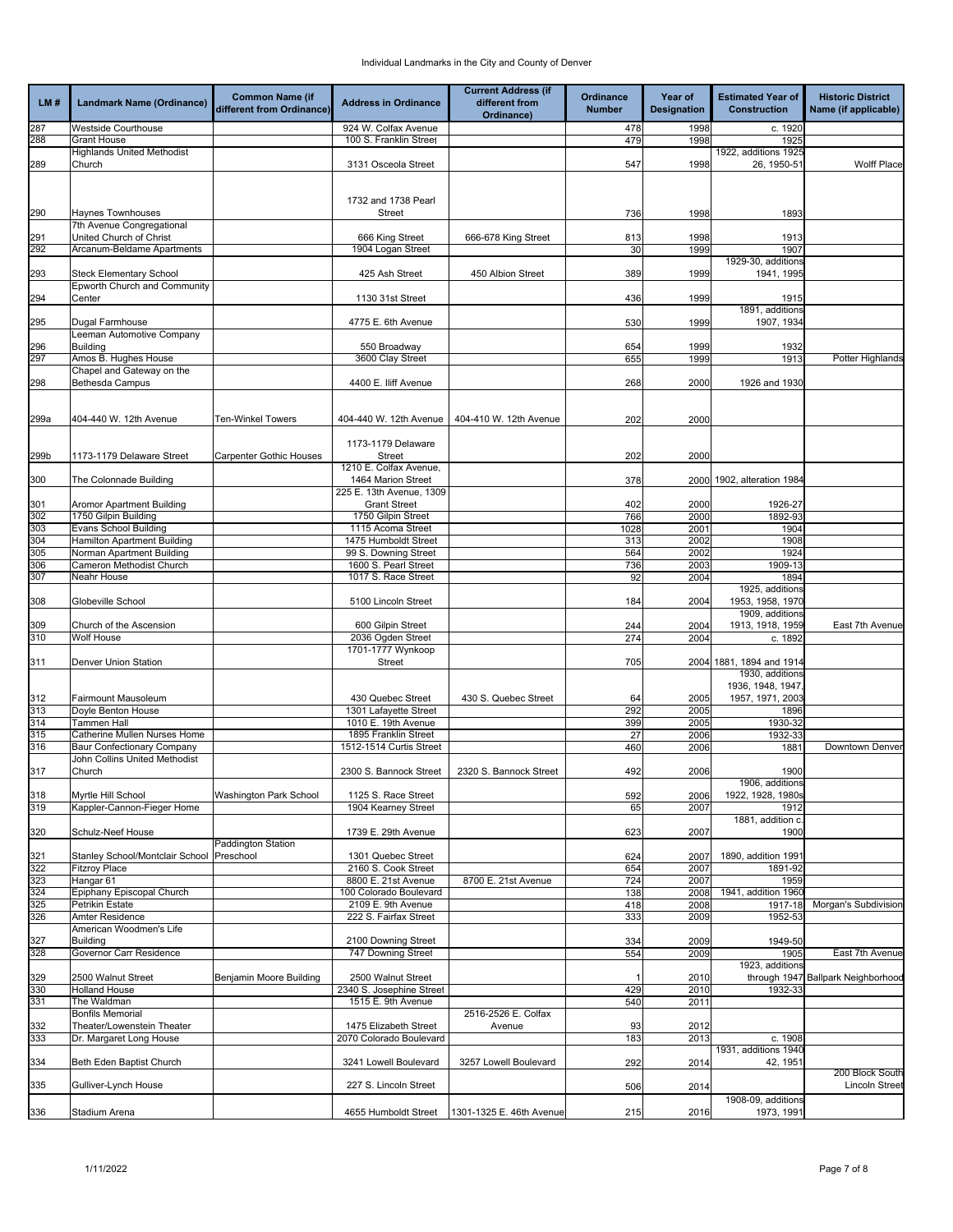|            |                                                            | <b>Common Name (if</b>         |                                                  | <b>Current Address (if</b>   | Ordinance     | Year of            | <b>Estimated Year of</b>            | <b>Historic District</b>                 |
|------------|------------------------------------------------------------|--------------------------------|--------------------------------------------------|------------------------------|---------------|--------------------|-------------------------------------|------------------------------------------|
| LM#        | <b>Landmark Name (Ordinance)</b>                           | different from Ordinance)      | <b>Address in Ordinance</b>                      | different from<br>Ordinance) | <b>Number</b> | <b>Designation</b> | <b>Construction</b>                 | Name (if applicable)                     |
| 287        | <b>Westside Courthouse</b>                                 |                                | 924 W. Colfax Avenue                             |                              | 478           | 1998               | c. 1920                             |                                          |
| 288        | <b>Grant House</b>                                         |                                | 100 S. Franklin Street                           |                              | 479           | 1998               | 1925                                |                                          |
| 289        | <b>Highlands United Methodist</b><br>Church                |                                | 3131 Osceola Street                              |                              | 547           | 1998               | 1922, additions 1925<br>26, 1950-51 | <b>Wolff Place</b>                       |
|            |                                                            |                                |                                                  |                              |               |                    |                                     |                                          |
|            |                                                            |                                |                                                  |                              |               |                    |                                     |                                          |
|            |                                                            |                                | 1732 and 1738 Pearl                              |                              |               |                    |                                     |                                          |
| 290        | <b>Haynes Townhouses</b><br>7th Avenue Congregational      |                                | <b>Street</b>                                    |                              | 736           | 1998               | 1893                                |                                          |
| 291        | United Church of Christ                                    |                                | 666 King Street                                  | 666-678 King Street          | 813           | 1998               | 1913                                |                                          |
| 292        | Arcanum-Beldame Apartments                                 |                                | 1904 Logan Street                                |                              | 30            | 1999               | 1907                                |                                          |
|            |                                                            |                                |                                                  |                              |               |                    | 1929-30, additions                  |                                          |
| 293        | Steck Elementary School<br>Epworth Church and Community    |                                | 425 Ash Street                                   | 450 Albion Street            | 389           | 1999               | 1941, 1995                          |                                          |
| 294        | Center                                                     |                                | 1130 31st Street                                 |                              | 436           | 1999               | 1915                                |                                          |
|            |                                                            |                                |                                                  |                              |               |                    | 1891, additions                     |                                          |
| 295        | Dugal Farmhouse                                            |                                | 4775 E. 6th Avenue                               |                              | 530           | 1999               | 1907, 1934                          |                                          |
| 296        | Leeman Automotive Company<br>Building                      |                                | 550 Broadway                                     |                              | 654           | 1999               | 1932                                |                                          |
| 297        | Amos B. Hughes House                                       |                                | 3600 Clay Street                                 |                              | 655           | 1999               | 1913                                | Potter Highlands                         |
|            | Chapel and Gateway on the                                  |                                |                                                  |                              |               |                    |                                     |                                          |
| 298        | Bethesda Campus                                            |                                | 4400 E. Iliff Avenue                             |                              | 268           | 2000               | 1926 and 1930                       |                                          |
|            |                                                            |                                |                                                  |                              |               |                    |                                     |                                          |
| 299a       | 404-440 W. 12th Avenue                                     | Ten-Winkel Towers              | 404-440 W. 12th Avenue                           | 404-410 W. 12th Avenue       | 202           | 2000               |                                     |                                          |
|            |                                                            |                                |                                                  |                              |               |                    |                                     |                                          |
| 299b       | 1173-1179 Delaware Street                                  | <b>Carpenter Gothic Houses</b> | 1173-1179 Delaware<br>Street                     |                              | 202           | 2000               |                                     |                                          |
|            |                                                            |                                | 1210 E. Colfax Avenue,                           |                              |               |                    |                                     |                                          |
| 300        | The Colonnade Building                                     |                                | 1464 Marion Street                               |                              | 378           | 2000               | 1902, alteration 1984               |                                          |
| 301        | Aromor Apartment Building                                  |                                | 225 E. 13th Avenue, 1309<br><b>Grant Street</b>  |                              | 402           | 2000               | 1926-27                             |                                          |
| 302        | 1750 Gilpin Building                                       |                                | 1750 Gilpin Street                               |                              | 766           | 2000               | 1892-93                             |                                          |
| 303        | Evans School Building                                      |                                | 1115 Acoma Street                                |                              | 1028          | 2001               | 1904                                |                                          |
| 304        | Hamilton Apartment Building                                |                                | 1475 Humboldt Street                             |                              | 313           | 2002               | 1908                                |                                          |
| 305        | Norman Apartment Building                                  |                                | 99 S. Downing Street                             |                              | 564           | 2002               | 1924                                |                                          |
| 306<br>307 | Cameron Methodist Church<br>Neahr House                    |                                | 1600 S. Pearl Street<br>1017 S. Race Street      |                              | 736<br>92     | 2003<br>2004       | 1909-13<br>1894                     |                                          |
|            |                                                            |                                |                                                  |                              |               |                    | 1925, additions                     |                                          |
| 308        | Globeville School                                          |                                | 5100 Lincoln Street                              |                              | 184           | 2004               | 1953, 1958, 1970                    |                                          |
|            |                                                            |                                |                                                  |                              |               |                    | 1909, additions                     |                                          |
| 309<br>310 | Church of the Ascension<br>Wolf House                      |                                | 600 Gilpin Street<br>2036 Ogden Street           |                              | 244<br>274    | 2004<br>2004       | 1913, 1918, 1959<br>c. 1892         | East 7th Avenue                          |
|            |                                                            |                                | 1701-1777 Wynkoop                                |                              |               |                    |                                     |                                          |
| 311        | Denver Union Station                                       |                                | Street                                           |                              | 705           |                    | 2004 1881, 1894 and 1914            |                                          |
|            |                                                            |                                |                                                  |                              |               |                    | 1930, additions<br>1936, 1948, 1947 |                                          |
| 312        | Fairmount Mausoleum                                        |                                | 430 Quebec Street                                | 430 S. Quebec Street         | 64            | 2005               | 1957, 1971, 2003                    |                                          |
| 313        | Doyle Benton House                                         |                                | 1301 Lafayette Street                            |                              | 292           | 2005               | 1896                                |                                          |
| 314        | Tammen Hall                                                |                                | 1010 E. 19th Avenue                              |                              | 399           | 2005               | 1930-32                             |                                          |
| 315<br>316 | Catherine Mullen Nurses Home<br>Baur Confectionary Company |                                | 1895 Franklin Street<br>1512-1514 Curtis Street  |                              | 27<br>460     | 2006<br>2006       | 1932-33<br>1881                     | Downtown Denver                          |
|            | John Collins United Methodist                              |                                |                                                  |                              |               |                    |                                     |                                          |
| 317        | Church                                                     |                                | 2300 S. Bannock Street                           | 2320 S. Bannock Street       | 492           | 2006               | 1900                                |                                          |
|            |                                                            |                                |                                                  |                              |               |                    | 1906, additions                     |                                          |
| 318<br>319 | Myrtle Hill School<br>Kappler-Cannon-Fieger Home           | Washington Park School         | 1125 S. Race Street<br>1904 Kearney Street       |                              | 592<br>65     | 2006<br>2007       | 1922, 1928, 1980s<br>1912           |                                          |
|            |                                                            |                                |                                                  |                              |               |                    | 1881, addition c                    |                                          |
| 320        | Schulz-Neef House                                          |                                | 1739 E. 29th Avenue                              |                              | 623           | 2007               | 1900                                |                                          |
|            | Stanley School/Montclair School Preschool                  | Paddington Station             | 1301 Quebec Street                               |                              | 624           |                    | 1890, addition 1991                 |                                          |
| 321<br>322 | Fitzroy Place                                              |                                | 2160 S. Cook Street                              |                              | 654           | 2007<br>2007       | 1891-92                             |                                          |
| 323        | Hangar 61                                                  |                                | 8800 E. 21st Avenue                              | 8700 E. 21st Avenue          | 724           | 2007               | 1959                                |                                          |
| 324        | Epiphany Episcopal Church                                  |                                | 100 Colorado Boulevard                           |                              | 138           | 2008               | 1941, addition 1960                 |                                          |
| 325        | Petrikin Estate                                            |                                | 2109 E. 9th Avenue                               |                              | 418           | 2008               | 1917-18                             | Morgan's Subdivision                     |
| 326        | Amter Residence<br>American Woodmen's Life                 |                                | 222 S. Fairfax Street                            |                              | 333           | 2009               | 1952-53                             |                                          |
| 327        | Building                                                   |                                | 2100 Downing Street                              |                              | 334           | 2009               | 1949-50                             |                                          |
| 328        | Governor Carr Residence                                    |                                | 747 Downing Street                               |                              | 554           | 2009               | 1905                                | East 7th Avenue                          |
| 329        | 2500 Walnut Street                                         | Benjamin Moore Building        | 2500 Walnut Street                               |                              |               | 2010               | 1923, additions                     | through 1947 Ballpark Neighborhood       |
| 330        | <b>Holland House</b>                                       |                                | 2340 S. Josephine Street                         |                              | 429           | 2010               | 1932-33                             |                                          |
| 331        | The Waldman                                                |                                | 1515 E. 9th Avenue                               |                              | 540           | 2011               |                                     |                                          |
|            | <b>Bonfils Memorial</b>                                    |                                |                                                  | 2516-2526 E. Colfax          |               |                    |                                     |                                          |
| 332<br>333 | Theater/Lowenstein Theater<br>Dr. Margaret Long House      |                                | 1475 Elizabeth Street<br>2070 Colorado Boulevard | Avenue                       | 93<br>183     | 2012<br>2013       | c. 1908                             |                                          |
|            |                                                            |                                |                                                  |                              |               |                    | 1931, additions 1940                |                                          |
| 334        | Beth Eden Baptist Church                                   |                                | 3241 Lowell Boulevard                            | 3257 Lowell Boulevard        | 292           | 2014               | 42, 1951                            |                                          |
| 335        | Gulliver-Lynch House                                       |                                | 227 S. Lincoln Street                            |                              | 506           | 2014               |                                     | 200 Block South<br><b>Lincoln Street</b> |
|            |                                                            |                                |                                                  |                              |               |                    | 1908-09, additions                  |                                          |
| 336        | Stadium Arena                                              |                                | 4655 Humboldt Street                             | 1301-1325 E. 46th Avenue     | 215           | 2016               | 1973, 1991                          |                                          |